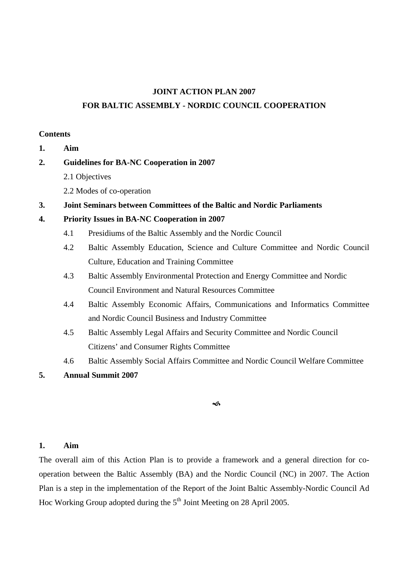#### **JOINT ACTION PLAN 2007**

#### **FOR BALTIC ASSEMBLY - NORDIC COUNCIL COOPERATION**

## **Contents**

- **1. Aim**
- **2. Guidelines for BA-NC Cooperation in 2007** 
	- 2.1 Objectives
	- 2.2 Modes of co-operation
- **3. Joint Seminars between Committees of the Baltic and Nordic Parliaments**

## **4. Priority Issues in BA-NC Cooperation in 2007**

- 4.1 Presidiums of the Baltic Assembly and the Nordic Council
- 4.2 Baltic Assembly Education, Science and Culture Committee and Nordic Council Culture, Education and Training Committee
- 4.3 Baltic Assembly Environmental Protection and Energy Committee and Nordic Council Environment and Natural Resources Committee
- 4.4 Baltic Assembly Economic Affairs, Communications and Informatics Committee and Nordic Council Business and Industry Committee
- 4.5 Baltic Assembly Legal Affairs and Security Committee and Nordic Council Citizens' and Consumer Rights Committee
- 4.6 Baltic Assembly Social Affairs Committee and Nordic Council Welfare Committee

## **5. Annual Summit 2007**

#### $\rightsquigarrow$

## **1. Aim**

The overall aim of this Action Plan is to provide a framework and a general direction for cooperation between the Baltic Assembly (BA) and the Nordic Council (NC) in 2007. The Action Plan is a step in the implementation of the Report of the Joint Baltic Assembly-Nordic Council Ad Hoc Working Group adopted during the  $5<sup>th</sup>$  Joint Meeting on 28 April 2005.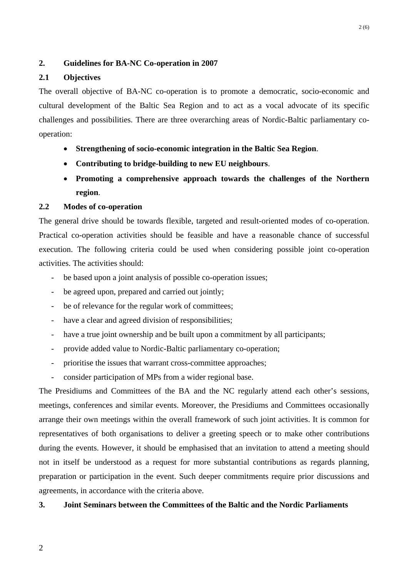#### **2. Guidelines for BA-NC Co-operation in 2007**

#### **2.1 Objectives**

The overall objective of BA-NC co-operation is to promote a democratic, socio-economic and cultural development of the Baltic Sea Region and to act as a vocal advocate of its specific challenges and possibilities. There are three overarching areas of Nordic-Baltic parliamentary cooperation:

- **Strengthening of socio-economic integration in the Baltic Sea Region**.
- **Contributing to bridge-building to new EU neighbours**.
- **Promoting a comprehensive approach towards the challenges of the Northern region**.

### **2.2 Modes of co-operation**

The general drive should be towards flexible, targeted and result-oriented modes of co-operation. Practical co-operation activities should be feasible and have a reasonable chance of successful execution. The following criteria could be used when considering possible joint co-operation activities. The activities should:

- be based upon a joint analysis of possible co-operation issues;
- be agreed upon, prepared and carried out jointly;
- be of relevance for the regular work of committees;
- have a clear and agreed division of responsibilities;
- have a true joint ownership and be built upon a commitment by all participants;
- provide added value to Nordic-Baltic parliamentary co-operation;
- prioritise the issues that warrant cross-committee approaches;
- consider participation of MPs from a wider regional base.

The Presidiums and Committees of the BA and the NC regularly attend each other's sessions, meetings, conferences and similar events. Moreover, the Presidiums and Committees occasionally arrange their own meetings within the overall framework of such joint activities. It is common for representatives of both organisations to deliver a greeting speech or to make other contributions during the events. However, it should be emphasised that an invitation to attend a meeting should not in itself be understood as a request for more substantial contributions as regards planning, preparation or participation in the event. Such deeper commitments require prior discussions and agreements, in accordance with the criteria above.

### **3. Joint Seminars between the Committees of the Baltic and the Nordic Parliaments**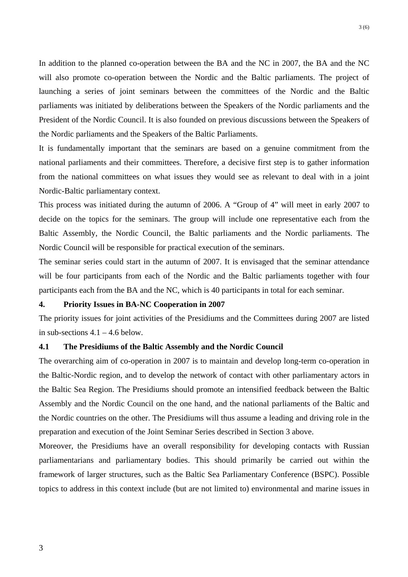In addition to the planned co-operation between the BA and the NC in 2007, the BA and the NC will also promote co-operation between the Nordic and the Baltic parliaments. The project of launching a series of joint seminars between the committees of the Nordic and the Baltic parliaments was initiated by deliberations between the Speakers of the Nordic parliaments and the President of the Nordic Council. It is also founded on previous discussions between the Speakers of the Nordic parliaments and the Speakers of the Baltic Parliaments.

It is fundamentally important that the seminars are based on a genuine commitment from the national parliaments and their committees. Therefore, a decisive first step is to gather information from the national committees on what issues they would see as relevant to deal with in a joint Nordic-Baltic parliamentary context.

This process was initiated during the autumn of 2006. A "Group of 4" will meet in early 2007 to decide on the topics for the seminars. The group will include one representative each from the Baltic Assembly, the Nordic Council, the Baltic parliaments and the Nordic parliaments. The Nordic Council will be responsible for practical execution of the seminars.

The seminar series could start in the autumn of 2007. It is envisaged that the seminar attendance will be four participants from each of the Nordic and the Baltic parliaments together with four participants each from the BA and the NC, which is 40 participants in total for each seminar.

## **4. Priority Issues in BA-NC Cooperation in 2007**

The priority issues for joint activities of the Presidiums and the Committees during 2007 are listed in sub-sections  $4.1 - 4.6$  below.

#### **4.1 The Presidiums of the Baltic Assembly and the Nordic Council**

The overarching aim of co-operation in 2007 is to maintain and develop long-term co-operation in the Baltic-Nordic region, and to develop the network of contact with other parliamentary actors in the Baltic Sea Region. The Presidiums should promote an intensified feedback between the Baltic Assembly and the Nordic Council on the one hand, and the national parliaments of the Baltic and the Nordic countries on the other. The Presidiums will thus assume a leading and driving role in the preparation and execution of the Joint Seminar Series described in Section 3 above.

Moreover, the Presidiums have an overall responsibility for developing contacts with Russian parliamentarians and parliamentary bodies. This should primarily be carried out within the framework of larger structures, such as the Baltic Sea Parliamentary Conference (BSPC). Possible topics to address in this context include (but are not limited to) environmental and marine issues in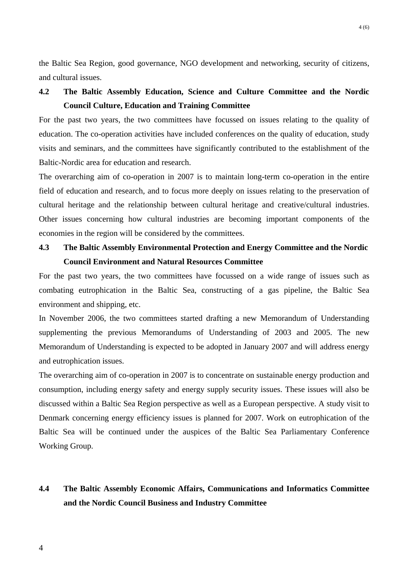the Baltic Sea Region, good governance, NGO development and networking, security of citizens, and cultural issues.

# **4.2 The Baltic Assembly Education, Science and Culture Committee and the Nordic Council Culture, Education and Training Committee**

For the past two years, the two committees have focussed on issues relating to the quality of education. The co-operation activities have included conferences on the quality of education, study visits and seminars, and the committees have significantly contributed to the establishment of the Baltic-Nordic area for education and research.

The overarching aim of co-operation in 2007 is to maintain long-term co-operation in the entire field of education and research, and to focus more deeply on issues relating to the preservation of cultural heritage and the relationship between cultural heritage and creative/cultural industries. Other issues concerning how cultural industries are becoming important components of the economies in the region will be considered by the committees.

## **4.3 The Baltic Assembly Environmental Protection and Energy Committee and the Nordic Council Environment and Natural Resources Committee**

For the past two years, the two committees have focussed on a wide range of issues such as combating eutrophication in the Baltic Sea, constructing of a gas pipeline, the Baltic Sea environment and shipping, etc.

In November 2006, the two committees started drafting a new Memorandum of Understanding supplementing the previous Memorandums of Understanding of 2003 and 2005. The new Memorandum of Understanding is expected to be adopted in January 2007 and will address energy and eutrophication issues.

The overarching aim of co-operation in 2007 is to concentrate on sustainable energy production and consumption, including energy safety and energy supply security issues. These issues will also be discussed within a Baltic Sea Region perspective as well as a European perspective. A study visit to Denmark concerning energy efficiency issues is planned for 2007. Work on eutrophication of the Baltic Sea will be continued under the auspices of the Baltic Sea Parliamentary Conference Working Group.

## **4.4 The Baltic Assembly Economic Affairs, Communications and Informatics Committee and the Nordic Council Business and Industry Committee**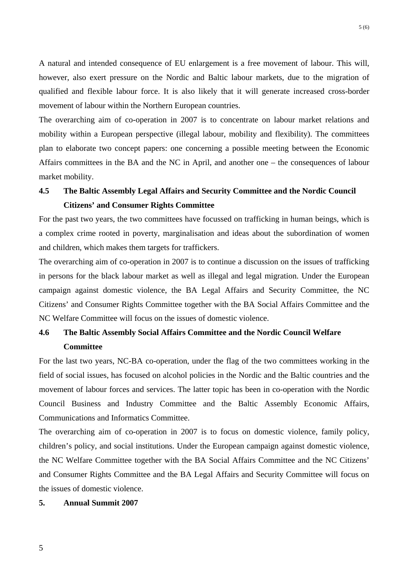A natural and intended consequence of EU enlargement is a free movement of labour. This will, however, also exert pressure on the Nordic and Baltic labour markets, due to the migration of qualified and flexible labour force. It is also likely that it will generate increased cross-border movement of labour within the Northern European countries.

The overarching aim of co-operation in 2007 is to concentrate on labour market relations and mobility within a European perspective (illegal labour, mobility and flexibility). The committees plan to elaborate two concept papers: one concerning a possible meeting between the Economic Affairs committees in the BA and the NC in April, and another one – the consequences of labour market mobility.

# **4.5 The Baltic Assembly Legal Affairs and Security Committee and the Nordic Council Citizens' and Consumer Rights Committee**

For the past two years, the two committees have focussed on trafficking in human beings, which is a complex crime rooted in poverty, marginalisation and ideas about the subordination of women and children, which makes them targets for traffickers.

The overarching aim of co-operation in 2007 is to continue a discussion on the issues of trafficking in persons for the black labour market as well as illegal and legal migration. Under the European campaign against domestic violence, the BA Legal Affairs and Security Committee, the NC Citizens' and Consumer Rights Committee together with the BA Social Affairs Committee and the NC Welfare Committee will focus on the issues of domestic violence.

# **4.6 The Baltic Assembly Social Affairs Committee and the Nordic Council Welfare Committee**

For the last two years, NC-BA co-operation, under the flag of the two committees working in the field of social issues, has focused on alcohol policies in the Nordic and the Baltic countries and the movement of labour forces and services. The latter topic has been in co-operation with the Nordic Council Business and Industry Committee and the Baltic Assembly Economic Affairs, Communications and Informatics Committee.

The overarching aim of co-operation in 2007 is to focus on domestic violence, family policy, children's policy, and social institutions. Under the European campaign against domestic violence, the NC Welfare Committee together with the BA Social Affairs Committee and the NC Citizens' and Consumer Rights Committee and the BA Legal Affairs and Security Committee will focus on the issues of domestic violence.

### **5. Annual Summit 2007**